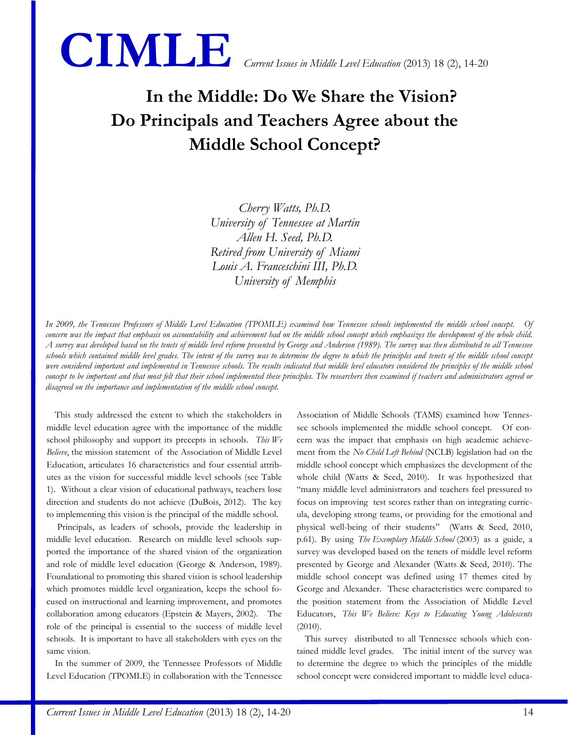

# **In the Middle: Do We Share the Vision? Do Principals and Teachers Agree about the Middle School Concept?**

*Cherry Watts, Ph.D. University of Tennessee at Martin Allen H. Seed, Ph.D. Retired from University of Miami Louis A. Franceschini III, Ph.D. University of Memphis*

*In 2009, the Tennessee Professors of Middle Level Education (TPOMLE) examined how Tennessee schools implemented the middle school concept. Of concern was the impact that emphasis on accountability and achievement had on the middle school concept which emphasizes the development of the whole child. A survey was developed based on the tenets of middle level reform presented by George and Anderson (1989). The survey was then distributed to all Tennessee schools which contained middle level grades. The intent of the survey was to determine the degree to which the principles and tenets of the middle school concept were considered important and implemented in Tennessee schools. The results indicated that middle level educators considered the principles of the middle school concept to be important and that most felt that their school implemented these principles. The researchers then examined if teachers and administrators agreed or disagreed on the importance and implementation of the middle school concept.*

This study addressed the extent to which the stakeholders in middle level education agree with the importance of the middle school philosophy and support its precepts in schools. *This We Believe*, the mission statement of the Association of Middle Level Education, articulates 16 characteristics and four essential attributes as the vision for successful middle level schools (see Table 1). Without a clear vision of educational pathways, teachers lose direction and students do not achieve (DuBois, 2012). The key to implementing this vision is the principal of the middle school.

Principals, as leaders of schools, provide the leadership in middle level education. Research on middle level schools supported the importance of the shared vision of the organization and role of middle level education (George & Anderson, 1989). Foundational to promoting this shared vision is school leadership which promotes middle level organization, keeps the school focused on instructional and learning improvement, and promotes collaboration among educators (Epstein & Mayers, 2002). The role of the principal is essential to the success of middle level schools. It is important to have all stakeholders with eyes on the same vision.

In the summer of 2009, the Tennessee Professors of Middle Level Education (TPOMLE) in collaboration with the Tennessee Association of Middle Schools (TAMS) examined how Tennessee schools implemented the middle school concept. Of concern was the impact that emphasis on high academic achievement from the *No Child Left Behind* (NCLB) legislation had on the middle school concept which emphasizes the development of the whole child (Watts & Seed, 2010). It was hypothesized that "many middle level administrators and teachers feel pressured to focus on improving test scores rather than on integrating curricula, developing strong teams, or providing for the emotional and physical well-being of their students" (Watts & Seed, 2010, p.61). By using *The Exemplary Middle School* (2003) as a guide, a survey was developed based on the tenets of middle level reform presented by George and Alexander (Watts & Seed, 2010). The middle school concept was defined using 17 themes cited by George and Alexander. These characteristics were compared to the position statement from the Association of Middle Level Educators, *This We Believe: Keys to Educating Young Adolescents*  (2010).

This survey distributed to all Tennessee schools which contained middle level grades. The initial intent of the survey was to determine the degree to which the principles of the middle school concept were considered important to middle level educa-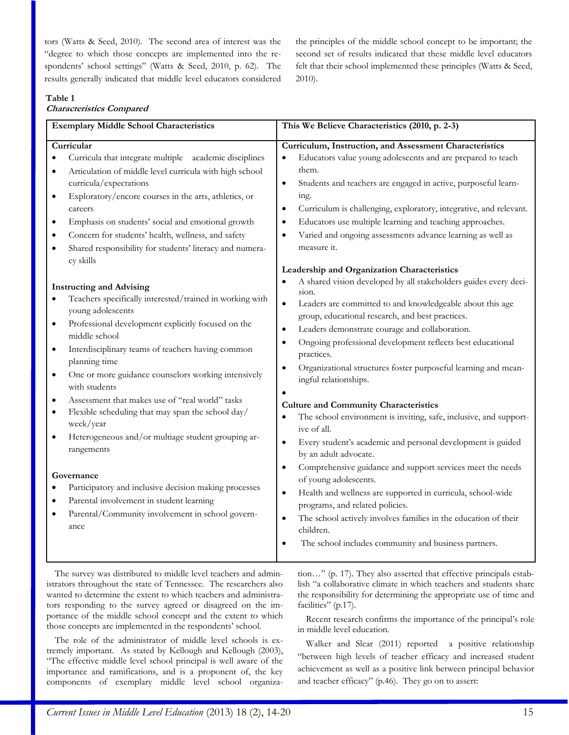tors (Watts & Seed, 2010). The second area of interest was the "degree to which those concepts are implemented into the respondents' school settings" (Watts & Seed, 2010, p. 62). The results generally indicated that middle level educators considered the principles of the middle school concept to be important; the second set of results indicated that these middle level educators felt that their school implemented these principles (Watts & Seed, 2010).

#### **Table 1**

# **Characteristics Compared**

| <b>Exemplary Middle School Characteristics</b>                                                                                                                                                                                                                                                                                                                                                                                                                                                                                                                                                                                  | This We Believe Characteristics (2010, p. 2-3)                                                                                                                                                                                                                                                                                                                                                                                                                                                                                                                                                                                                                                                                                                                                                                                                 |
|---------------------------------------------------------------------------------------------------------------------------------------------------------------------------------------------------------------------------------------------------------------------------------------------------------------------------------------------------------------------------------------------------------------------------------------------------------------------------------------------------------------------------------------------------------------------------------------------------------------------------------|------------------------------------------------------------------------------------------------------------------------------------------------------------------------------------------------------------------------------------------------------------------------------------------------------------------------------------------------------------------------------------------------------------------------------------------------------------------------------------------------------------------------------------------------------------------------------------------------------------------------------------------------------------------------------------------------------------------------------------------------------------------------------------------------------------------------------------------------|
| Curricular                                                                                                                                                                                                                                                                                                                                                                                                                                                                                                                                                                                                                      | Curriculum, Instruction, and Assessment Characteristics                                                                                                                                                                                                                                                                                                                                                                                                                                                                                                                                                                                                                                                                                                                                                                                        |
| Curricula that integrate multiple academic disciplines                                                                                                                                                                                                                                                                                                                                                                                                                                                                                                                                                                          | Educators value young adolescents and are prepared to teach<br>$\bullet$                                                                                                                                                                                                                                                                                                                                                                                                                                                                                                                                                                                                                                                                                                                                                                       |
| Articulation of middle level curricula with high school<br>$\bullet$                                                                                                                                                                                                                                                                                                                                                                                                                                                                                                                                                            | them.                                                                                                                                                                                                                                                                                                                                                                                                                                                                                                                                                                                                                                                                                                                                                                                                                                          |
| curricula/expectations                                                                                                                                                                                                                                                                                                                                                                                                                                                                                                                                                                                                          | Students and teachers are engaged in active, purposeful learn-<br>$\bullet$                                                                                                                                                                                                                                                                                                                                                                                                                                                                                                                                                                                                                                                                                                                                                                    |
| Exploratory/encore courses in the arts, athletics, or<br>$\bullet$                                                                                                                                                                                                                                                                                                                                                                                                                                                                                                                                                              | ing.                                                                                                                                                                                                                                                                                                                                                                                                                                                                                                                                                                                                                                                                                                                                                                                                                                           |
| careers                                                                                                                                                                                                                                                                                                                                                                                                                                                                                                                                                                                                                         | Curriculum is challenging, exploratory, integrative, and relevant.<br>$\bullet$                                                                                                                                                                                                                                                                                                                                                                                                                                                                                                                                                                                                                                                                                                                                                                |
| Emphasis on students' social and emotional growth<br>$\bullet$                                                                                                                                                                                                                                                                                                                                                                                                                                                                                                                                                                  | Educators use multiple learning and teaching approaches.<br>٠                                                                                                                                                                                                                                                                                                                                                                                                                                                                                                                                                                                                                                                                                                                                                                                  |
| Concern for students' health, wellness, and safety                                                                                                                                                                                                                                                                                                                                                                                                                                                                                                                                                                              | Varied and ongoing assessments advance learning as well as<br>$\bullet$                                                                                                                                                                                                                                                                                                                                                                                                                                                                                                                                                                                                                                                                                                                                                                        |
| Shared responsibility for students' literacy and numera-<br>$\bullet$                                                                                                                                                                                                                                                                                                                                                                                                                                                                                                                                                           | measure it.                                                                                                                                                                                                                                                                                                                                                                                                                                                                                                                                                                                                                                                                                                                                                                                                                                    |
| cy skills                                                                                                                                                                                                                                                                                                                                                                                                                                                                                                                                                                                                                       | Leadership and Organization Characteristics                                                                                                                                                                                                                                                                                                                                                                                                                                                                                                                                                                                                                                                                                                                                                                                                    |
| <b>Instructing and Advising</b><br>Teachers specifically interested/trained in working with<br>$\bullet$<br>young adolescents<br>Professional development explicitly focused on the<br>$\bullet$<br>middle school<br>Interdisciplinary teams of teachers having common<br>$\bullet$<br>planning time<br>One or more guidance counselors working intensively<br>$\bullet$<br>with students<br>Assessment that makes use of "real world" tasks<br>٠<br>Flexible scheduling that may span the school day/<br>$\bullet$<br>week/year<br>Heterogeneous and/or multiage student grouping ar-<br>$\bullet$<br>rangements<br>Governance | A shared vision developed by all stakeholders guides every deci-<br>sion.<br>Leaders are committed to and knowledgeable about this age<br>$\bullet$<br>group, educational research, and best practices.<br>Leaders demonstrate courage and collaboration.<br>$\bullet$<br>Ongoing professional development reflects best educational<br>$\bullet$<br>practices.<br>Organizational structures foster purposeful learning and mean-<br>$\bullet$<br>ingful relationships.<br>$\bullet$<br><b>Culture and Community Characteristics</b><br>The school environment is inviting, safe, inclusive, and support-<br>$\bullet$<br>ive of all.<br>Every student's academic and personal development is guided<br>$\bullet$<br>by an adult advocate.<br>Comprehensive guidance and support services meet the needs<br>$\bullet$<br>of young adolescents. |
| Participatory and inclusive decision making processes<br>$\bullet$                                                                                                                                                                                                                                                                                                                                                                                                                                                                                                                                                              |                                                                                                                                                                                                                                                                                                                                                                                                                                                                                                                                                                                                                                                                                                                                                                                                                                                |
| Parental involvement in student learning<br>$\bullet$                                                                                                                                                                                                                                                                                                                                                                                                                                                                                                                                                                           | Health and wellness are supported in curricula, school-wide<br>$\bullet$                                                                                                                                                                                                                                                                                                                                                                                                                                                                                                                                                                                                                                                                                                                                                                       |
| Parental/Community involvement in school govern-<br>$\bullet$                                                                                                                                                                                                                                                                                                                                                                                                                                                                                                                                                                   | programs, and related policies.                                                                                                                                                                                                                                                                                                                                                                                                                                                                                                                                                                                                                                                                                                                                                                                                                |
| ance                                                                                                                                                                                                                                                                                                                                                                                                                                                                                                                                                                                                                            | The school actively involves families in the education of their<br>$\bullet$<br>children.                                                                                                                                                                                                                                                                                                                                                                                                                                                                                                                                                                                                                                                                                                                                                      |
|                                                                                                                                                                                                                                                                                                                                                                                                                                                                                                                                                                                                                                 | The school includes community and business partners.<br>$\bullet$                                                                                                                                                                                                                                                                                                                                                                                                                                                                                                                                                                                                                                                                                                                                                                              |

The survey was distributed to middle level teachers and administrators throughout the state of Tennessee. The researchers also wanted to determine the extent to which teachers and administrators responding to the survey agreed or disagreed on the importance of the middle school concept and the extent to which those concepts are implemented in the respondents' school.

The role of the administrator of middle level schools is extremely important. As stated by Kellough and Kellough (2003), "The effective middle level school principal is well aware of the importance and ramifications, and is a proponent of, the key components of exemplary middle level school organization…" (p. 17). They also asserted that effective principals establish "a collaborative climate in which teachers and students share the responsibility for determining the appropriate use of time and facilities" (p.17).

Recent research confirms the importance of the principal's role in middle level education.

Walker and Slear (2011) reported a positive relationship "between high levels of teacher efficacy and increased student achievement as well as a positive link between principal behavior and teacher efficacy" (p.46). They go on to assert: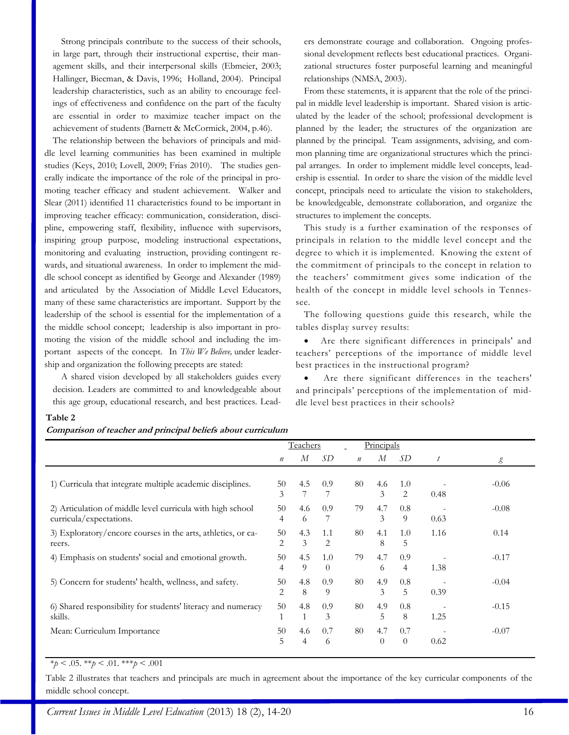Strong principals contribute to the success of their schools, in large part, through their instructional expertise, their management skills, and their interpersonal skills (Ebmeier, 2003; Hallinger, Biecman, & Davis, 1996; Holland, 2004). Principal leadership characteristics, such as an ability to encourage feelings of effectiveness and confidence on the part of the faculty are essential in order to maximize teacher impact on the achievement of students (Barnett & McCormick, 2004, p.46).

The relationship between the behaviors of principals and middle level learning communities has been examined in multiple studies (Keys, 2010; Lovell, 2009; Frias 2010). The studies generally indicate the importance of the role of the principal in promoting teacher efficacy and student achievement. Walker and Slear (2011) identified 11 characteristics found to be important in improving teacher efficacy: communication, consideration, discipline, empowering staff, flexibility, influence with supervisors, inspiring group purpose, modeling instructional expectations, monitoring and evaluating instruction, providing contingent rewards, and situational awareness. In order to implement the middle school concept as identified by George and Alexander (1989) and articulated by the Association of Middle Level Educators, many of these same characteristics are important. Support by the leadership of the school is essential for the implementation of a the middle school concept; leadership is also important in promoting the vision of the middle school and including the important aspects of the concept. In *This We Believe,* under leadership and organization the following precepts are stated:

A shared vision developed by all stakeholders guides every decision. Leaders are committed to and knowledgeable about this age group, educational research, and best practices. Lead-

ers demonstrate courage and collaboration. Ongoing professional development reflects best educational practices. Organizational structures foster purposeful learning and meaningful relationships (NMSA, 2003).

From these statements, it is apparent that the role of the principal in middle level leadership is important. Shared vision is articulated by the leader of the school; professional development is planned by the leader; the structures of the organization are planned by the principal. Team assignments, advising, and common planning time are organizational structures which the principal arranges. In order to implement middle level concepts, leadership is essential. In order to share the vision of the middle level concept, principals need to articulate the vision to stakeholders, be knowledgeable, demonstrate collaboration, and organize the structures to implement the concepts.

This study is a further examination of the responses of principals in relation to the middle level concept and the degree to which it is implemented. Knowing the extent of the commitment of principals to the concept in relation to the teachers' commitment gives some indication of the health of the concept in middle level schools in Tennessee.

The following questions guide this research, while the tables display survey results:

 Are there significant differences in principals' and teachers' perceptions of the importance of middle level best practices in the instructional program?

 Are there significant differences in the teachers' and principals' perceptions of the implementation of middle level best practices in their schools?

#### **Table 2**

#### **Comparison of teacher and principal beliefs about curriculum**

|                                                                                       | Teachers         |          |                 |                  | Principals      |                 |      |         |
|---------------------------------------------------------------------------------------|------------------|----------|-----------------|------------------|-----------------|-----------------|------|---------|
|                                                                                       | $\boldsymbol{n}$ | М        | SD              | $\boldsymbol{n}$ | М               | SD.             | t    | g       |
| 1) Curricula that integrate multiple academic disciplines.                            | 50<br>3          | 4.5      | 0.9             | 80               | 4.6<br>3        | 1.0<br>2        | 0.48 | $-0.06$ |
| 2) Articulation of middle level curricula with high school<br>curricula/expectations. | 50<br>4          | 4.6<br>6 | 0.9             | 79               | 4.7<br>3        | 0.8<br>9        | 0.63 | $-0.08$ |
| 3) Exploratory/encore courses in the arts, athletics, or ca-<br>reers.                | 50<br>2          | 4.3<br>3 | 1.1<br>2        | 80               | 4.1<br>8        | 1.0<br>5        | 1.16 | 0.14    |
| 4) Emphasis on students' social and emotional growth.                                 | 50<br>4          | 4.5<br>9 | 1.0<br>$\Omega$ | 79               | 4.7<br>6        | 0.9<br>4        | 1.38 | $-0.17$ |
| 5) Concern for students' health, wellness, and safety.                                | 50<br>2          | 4.8<br>8 | 0.9<br>9        | 80               | 4.9<br>3        | 0.8<br>5        | 0.39 | $-0.04$ |
| 6) Shared responsibility for students' literacy and numeracy<br>skills.               | 50               | 4.8      | 0.9<br>3        | 80               | 4.9<br>5        | 0.8<br>8        | 1.25 | $-0.15$ |
| Mean: Curriculum Importance                                                           | 50<br>5          | 4.6<br>4 | 0.7<br>6        | 80               | 4.7<br>$\theta$ | 0.7<br>$\theta$ | 0.62 | $-0.07$ |

# $*_{p} < .05.$  \*\**p* < .01. \*\*\**p* < .001

Table 2 illustrates that teachers and principals are much in agreement about the importance of the key curricular components of the middle school concept.

*Current Issues in Middle Level Education (2013) 18 (2), 14-20* 16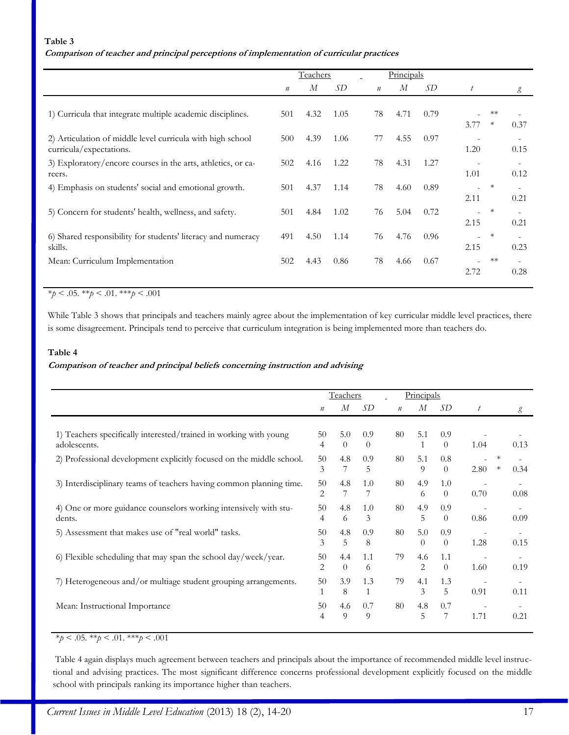#### **Table 3**

## **Comparison of teacher and principal perceptions of implementation of curricular practices**

|                                                                                       |                  | <b>Teachers</b> |      |                  | Principals |      |                  |                |      |
|---------------------------------------------------------------------------------------|------------------|-----------------|------|------------------|------------|------|------------------|----------------|------|
|                                                                                       | $\boldsymbol{n}$ | М               | SD   | $\boldsymbol{n}$ | М          | SD   | $\boldsymbol{t}$ |                | g    |
| 1) Curricula that integrate multiple academic disciplines.                            | 501              | 4.32            | 1.05 | 78               | 4.71       | 0.79 | 3.77             | $**$<br>$\ast$ | 0.37 |
| 2) Articulation of middle level curricula with high school<br>curricula/expectations. | 500              | 4.39            | 1.06 | 77               | 4.55       | 0.97 | 1.20             |                | 0.15 |
| 3) Exploratory/encore courses in the arts, athletics, or ca-<br>reers.                | 502              | 4.16            | 1.22 | 78               | 4.31       | 1.27 | 1.01             |                | 0.12 |
| 4) Emphasis on students' social and emotional growth.                                 | 501              | 4.37            | 1.14 | 78               | 4.60       | 0.89 | 2.11             | $\ast$         | 0.21 |
| 5) Concern for students' health, wellness, and safety.                                | 501              | 4.84            | 1.02 | 76               | 5.04       | 0.72 | 2.15             | $\ast$         | 0.21 |
| 6) Shared responsibility for students' literacy and numeracy<br>skills.               | 491              | 4.50            | 1.14 | 76               | 4.76       | 0.96 | 2.15             | $\ast$         | 0.23 |
| Mean: Curriculum Implementation                                                       | 502              | 4.43            | 0.86 | 78               | 4.66       | 0.67 | 2.72             | $**$           | 0.28 |

# \**p* < .05. \*\**p* < .01. \*\*\**p* < .001

While Table 3 shows that principals and teachers mainly agree about the implementation of key curricular middle level practices, there is some disagreement. Principals tend to perceive that curriculum integration is being implemented more than teachers do.

## **Table 4**

#### **Comparison of teacher and principal beliefs concerning instruction and advising**

|                                                                                   | Teachers         |                 |                 |                  | Principals      |                 |                  |                  |      |
|-----------------------------------------------------------------------------------|------------------|-----------------|-----------------|------------------|-----------------|-----------------|------------------|------------------|------|
|                                                                                   | $\boldsymbol{n}$ | М               | SD              | $\boldsymbol{n}$ | М               | SD              | $\boldsymbol{t}$ |                  | g    |
|                                                                                   |                  |                 |                 |                  |                 |                 |                  |                  |      |
| 1) Teachers specifically interested/trained in working with young<br>adolescents. | 50<br>4          | 5.0<br>$\theta$ | 0.9<br>$\theta$ | 80               | 5.1<br>1        | 0.9<br>$\theta$ | 1.04             |                  | 0.13 |
| 2) Professional development explicitly focused on the middle school.              | 50<br>3          | 4.8<br>7        | 0.9<br>5        | 80               | 5.1<br>9        | 0.8<br>$\theta$ | 2.80             | $\ast$<br>$\ast$ | 0.34 |
| 3) Interdisciplinary teams of teachers having common planning time.               | 50<br>2          | 4.8<br>7        | 1.0             | 80               | 4.9<br>6        | 1.0<br>$\theta$ | 0.70             |                  | 0.08 |
| 4) One or more guidance counselors working intensively with stu-<br>dents.        | 50<br>4          | 4.8<br>6        | 1.0<br>3        | 80               | 4.9<br>5        | 0.9<br>$\theta$ | 0.86             |                  | 0.09 |
| 5) Assessment that makes use of "real world" tasks.                               | 50<br>3          | 4.8<br>5        | 0.9<br>8        | 80               | 5.0<br>$\Omega$ | 0.9<br>$\theta$ | 1.28             |                  | 0.15 |
| 6) Flexible scheduling that may span the school day/week/year.                    | 50<br>2          | 4.4<br>$\theta$ | 1.1<br>6        | 79               | 4.6<br>2        | 1.1<br>$\theta$ | 1.60             |                  | 0.19 |
| 7) Heterogeneous and/or multiage student grouping arrangements.                   | 50               | 3.9<br>8        | 1.3<br>1        | 79               | 4.1<br>3        | 1.3<br>5        | 0.91             |                  | 0.11 |
| Mean: Instructional Importance                                                    | 50<br>4          | 4.6<br>$\Omega$ | 0.7<br>9        | 80               | 4.8<br>5        | 0.7<br>7        | 1.71             |                  | 0.21 |

\**p* < .05. \*\**p* < .01. \*\*\**p* < .001

Table 4 again displays much agreement between teachers and principals about the importance of recommended middle level instructional and advising practices. The most significant difference concerns professional development explicitly focused on the middle school with principals ranking its importance higher than teachers.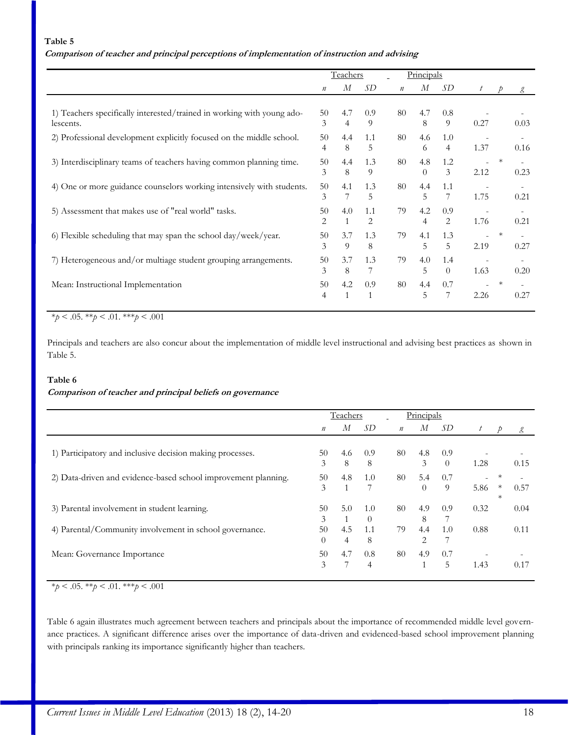#### **Table 5**

## **Comparison of teacher and principal perceptions of implementation of instruction and advising**

|                                                                        | Teachers         |              |              |         | Principals |                |                          |        |      |
|------------------------------------------------------------------------|------------------|--------------|--------------|---------|------------|----------------|--------------------------|--------|------|
|                                                                        | $\boldsymbol{n}$ | М            | SD           | $\it n$ | М          | SD             | $\boldsymbol{t}$         | D      | g    |
|                                                                        |                  |              |              |         |            |                |                          |        |      |
| 1) Teachers specifically interested/trained in working with young ado- | 50               | 4.7          | 0.9          | 80      | 4.7        | 0.8            |                          |        |      |
| lescents.                                                              | 3                | 4            | 9            |         | 8          | 9              | 0.27                     |        | 0.03 |
| 2) Professional development explicitly focused on the middle school.   | 50               | 4.4          | 1.1          | 80      | 4.6        | 1.0            |                          |        |      |
|                                                                        | $\overline{4}$   | 8            | 5            |         | 6          | $\overline{4}$ | 1.37                     |        | 0.16 |
| 3) Interdisciplinary teams of teachers having common planning time.    | 50               | 4.4          | 1.3          | 80      | 4.8        | 1.2            |                          | $\ast$ |      |
|                                                                        | 3                | 8            | 9            |         | $\Omega$   | 3              | 2.12                     |        | 0.23 |
| 4) One or more guidance counselors working intensively with students.  | 50               | 4.1          | 1.3          | 80      | 4.4        | 1.1            |                          |        |      |
|                                                                        | 3                | 7            | 5            |         | 5          | 7              | 1.75                     |        | 0.21 |
| 5) Assessment that makes use of "real world" tasks.                    | 50               | 4.0          | 1.1          | 79      | 4.2        | 0.9            | $\overline{\phantom{a}}$ |        |      |
|                                                                        | 2                | 1            | 2            |         | 4          | 2              | 1.76                     |        | 0.21 |
| 6) Flexible scheduling that may span the school day/week/year.         | 50               | 3.7          | 1.3          | 79      | 4.1        | 1.3            |                          | $\ast$ |      |
|                                                                        | 3                | 9            | 8            |         | 5          | 5              | 2.19                     |        | 0.27 |
| 7) Heterogeneous and/or multiage student grouping arrangements.        | 50               | 3.7          | 1.3          | 79      | 4.0        | 1.4            |                          |        |      |
|                                                                        | 3                | 8            | 7            |         | 5          | $\theta$       | 1.63                     |        | 0.20 |
| Mean: Instructional Implementation                                     | 50               | 4.2          | 0.9          | 80      | 4.4        | 0.7            |                          | $\ast$ |      |
|                                                                        | $\overline{4}$   | $\mathbf{1}$ | $\mathbf{1}$ |         | 5          | 7              | 2.26                     |        | 0.27 |
|                                                                        |                  |              |              |         |            |                |                          |        |      |

 $*_{p}$  < .05.  $*_{p}$  < .01.  $*_{p}$  < .001

Principals and teachers are also concur about the implementation of middle level instructional and advising best practices as shown in Table 5.

#### **Table 6**

## **Comparison of teacher and principal beliefs on governance**

| Teachers         |              |                | Principals       |                |          |                             |        |                |
|------------------|--------------|----------------|------------------|----------------|----------|-----------------------------|--------|----------------|
| $\boldsymbol{n}$ | М            | SD             | $\boldsymbol{n}$ | М              | SD       | $\mathcal{L}_{\mathcal{L}}$ |        | g              |
|                  |              |                |                  |                |          |                             |        |                |
| 50               | 4.6          | 0.9            | 80               | 4.8            | 0.9      |                             |        |                |
| 3                | 8            | 8              |                  | 3              | $\theta$ | 1.28                        |        | 0.15           |
| 50               | 4.8          | 1.0            | 80               | 5.4            | 0.7      |                             |        |                |
| 3                | $\mathbf{1}$ |                |                  | 0              | 9        | 5.86                        | $\ast$ | 0.57           |
|                  |              |                |                  |                |          |                             | $\ast$ |                |
| 50               | 5.0          | 1.0            | 80               | 4.9            | 0.9      | 0.32                        |        | 0.04           |
| 3                |              | $\Omega$       |                  | 8              |          |                             |        |                |
| 50               | 4.5          | 1.1            | 79               | 4.4            | 1.0      | 0.88                        |        | 0.11           |
| $\theta$         | 4            | 8              |                  | $\overline{2}$ |          |                             |        |                |
| 50               | 4.7          | 0.8            | 80               | 4.9            | 0.7      |                             |        |                |
| 3                |              | $\overline{4}$ |                  |                | 5        | 1.43                        |        | 0.17           |
|                  |              |                |                  |                |          |                             |        | $\overline{D}$ |

\**p* < .05. \*\**p* < .01. \*\*\**p* < .001

Table 6 again illustrates much agreement between teachers and principals about the importance of recommended middle level governance practices. A significant difference arises over the importance of data-driven and evidenced-based school improvement planning with principals ranking its importance significantly higher than teachers.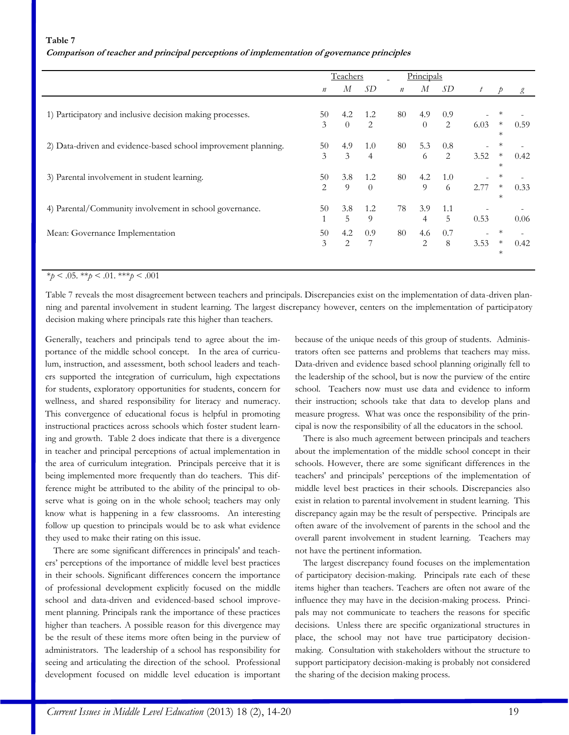#### **Table 7**

| Comparison of teacher and principal perceptions of implementation of governance principles |  |  |  |  |  |
|--------------------------------------------------------------------------------------------|--|--|--|--|--|
|                                                                                            |  |  |  |  |  |

|                                                                | Teachers         |                |          |               | Principals |     |                  |               |      |
|----------------------------------------------------------------|------------------|----------------|----------|---------------|------------|-----|------------------|---------------|------|
|                                                                | $\boldsymbol{n}$ | М              | SD       | $\mathfrak n$ | М          | SD  | $\boldsymbol{t}$ | $\mathcal{D}$ | g    |
|                                                                |                  |                |          |               |            |     |                  |               |      |
| 1) Participatory and inclusive decision making processes.      | 50               | 4.2            | 1.2      | 80            | 4.9        | 0.9 |                  |               |      |
|                                                                | 3                | $\overline{0}$ | 2        |               | $\Omega$   | 2   | 6.03             | $\ast$        | 0.59 |
|                                                                |                  |                |          |               |            |     |                  | $^\ast$       |      |
| 2) Data-driven and evidence-based school improvement planning. | 50               | 4.9            | 1.0      | 80            | 5.3        | 0.8 |                  |               |      |
|                                                                | 3                | $\mathfrak{Z}$ | 4        |               | 6          | 2   | 3.52             | $\ast$        | 0.42 |
|                                                                |                  |                |          |               |            |     |                  | $\ast$        |      |
| 3) Parental involvement in student learning.                   | 50               | 3.8            | 1.2      | 80            | 4.2        | 1.0 |                  |               |      |
|                                                                | 2                | 9              | $\Omega$ |               | 9          | 6   | 2.77             | $\ast$        | 0.33 |
|                                                                |                  |                |          |               |            |     |                  | $\ast$        |      |
| 4) Parental/Community involvement in school governance.        | 50               | 3.8            | 1.2      | 78            | 3.9        | 1.1 |                  |               |      |
|                                                                | $\mathbf{1}$     | 5              | 9        |               | 4          | 5   | 0.53             |               | 0.06 |
| Mean: Governance Implementation                                | 50               | 4.2            | 0.9      | 80            | 4.6        | 0.7 |                  | $\ast$        |      |
|                                                                | 3                | 2              | 7        |               | 2          | 8   | 3.53             | $\ast$        | 0.42 |
|                                                                |                  |                |          |               |            |     |                  | $\ast$        |      |
|                                                                |                  |                |          |               |            |     |                  |               |      |
|                                                                |                  |                |          |               |            |     |                  |               |      |

## $*_{p}$  < .05.  $*_{p}$  < .01.  $*_{p}$  < .001

Table 7 reveals the most disagreement between teachers and principals. Discrepancies exist on the implementation of data-driven planning and parental involvement in student learning. The largest discrepancy however, centers on the implementation of participatory decision making where principals rate this higher than teachers.

Generally, teachers and principals tend to agree about the importance of the middle school concept. In the area of curriculum, instruction, and assessment, both school leaders and teachers supported the integration of curriculum, high expectations for students, exploratory opportunities for students, concern for wellness, and shared responsibility for literacy and numeracy. This convergence of educational focus is helpful in promoting instructional practices across schools which foster student learning and growth. Table 2 does indicate that there is a divergence in teacher and principal perceptions of actual implementation in the area of curriculum integration. Principals perceive that it is being implemented more frequently than do teachers. This difference might be attributed to the ability of the principal to observe what is going on in the whole school; teachers may only know what is happening in a few classrooms. An interesting follow up question to principals would be to ask what evidence they used to make their rating on this issue.

There are some significant differences in principals' and teachers' perceptions of the importance of middle level best practices in their schools. Significant differences concern the importance of professional development explicitly focused on the middle school and data-driven and evidenced-based school improvement planning. Principals rank the importance of these practices higher than teachers. A possible reason for this divergence may be the result of these items more often being in the purview of administrators. The leadership of a school has responsibility for seeing and articulating the direction of the school. Professional development focused on middle level education is important because of the unique needs of this group of students. Administrators often see patterns and problems that teachers may miss. Data-driven and evidence based school planning originally fell to the leadership of the school, but is now the purview of the entire school. Teachers now must use data and evidence to inform their instruction; schools take that data to develop plans and measure progress. What was once the responsibility of the principal is now the responsibility of all the educators in the school.

There is also much agreement between principals and teachers about the implementation of the middle school concept in their schools. However, there are some significant differences in the teachers' and principals' perceptions of the implementation of middle level best practices in their schools. Discrepancies also exist in relation to parental involvement in student learning. This discrepancy again may be the result of perspective. Principals are often aware of the involvement of parents in the school and the overall parent involvement in student learning. Teachers may not have the pertinent information.

The largest discrepancy found focuses on the implementation of participatory decision-making. Principals rate each of these items higher than teachers. Teachers are often not aware of the influence they may have in the decision-making process. Principals may not communicate to teachers the reasons for specific decisions. Unless there are specific organizational structures in place, the school may not have true participatory decisionmaking. Consultation with stakeholders without the structure to support participatory decision-making is probably not considered the sharing of the decision making process.